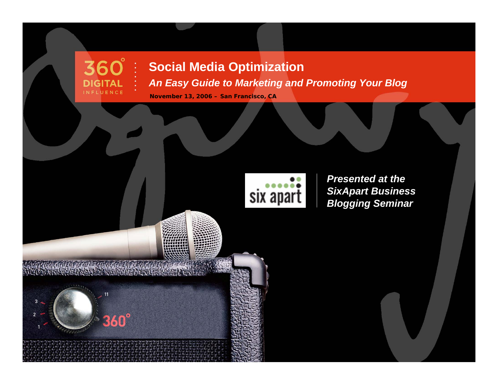#### **Social Media Optimization**

*An Easy Guide to Marketing and Promoting Your Blog*

**November 13, 2006 – San Francisco, CA**

Knop Nicol

**360°** 

**DIGITAL** INFLUENCE

 $11111$ 

11

 $360^\circ$ 



*Presented at the SixApart Business Blogging Seminar*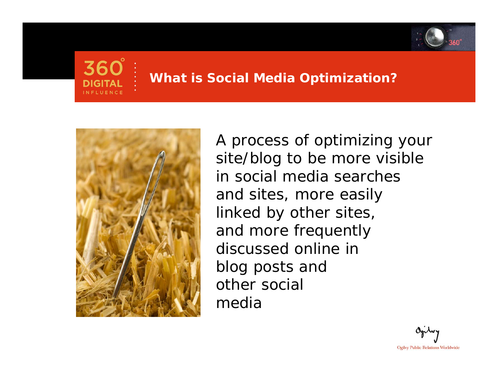



#### **What is Social Media Optimization?**



*A process of optimizing your site/blog to be more visible in social media searches and sites, more easily linked by other sites, and more frequently discussed online in blog posts and other social media*

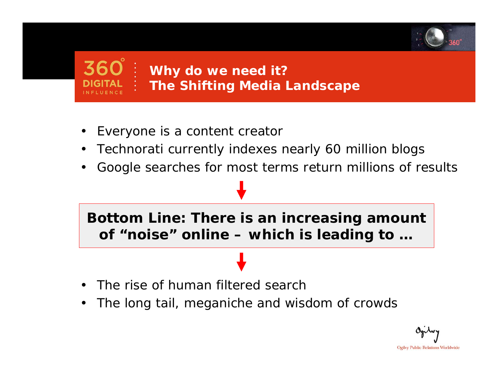

# **Why do we need it?** *The Shifting Media Landscape*

- •Everyone is a content creator
- •Technorati currently indexes nearly 60 million blogs
- •Google searches for most terms return millions of results

## **Bottom Line: There is an increasing amount of "noise" online – which is leading to …**

- •The rise of human filtered search
- •The long tail, meganiche and wisdom of crowds

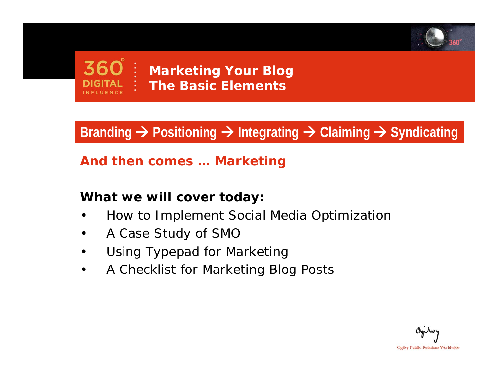



**Marketing Your Blog** *The Basic Elements*

# **Branding**  Æ **Positioning**  Æ **Integrating**  Æ **Claiming**  Æ **Syndicating**

#### *And then comes … Marketing*

#### **What we will cover today:**

- •How to Implement Social Media Optimization
- •A Case Study of SMO
- •Using Typepad for Marketing
- •A Checklist for Marketing Blog Posts

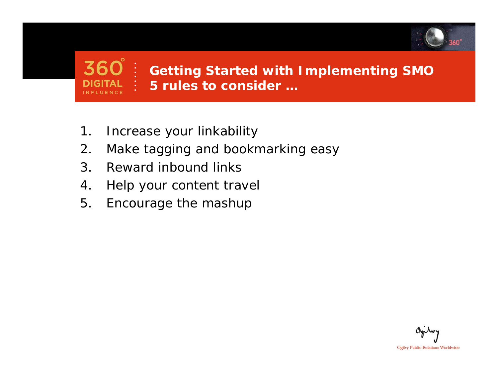

#### **Getting Started with Implementing SMO** *5 rules to consider …*

- 1. Increase your linkability
- 2. Make tagging and bookmarking easy
- 3. Reward inbound links

**INFLUENCE** 

- 4. Help your content travel
- 5. Encourage the mashup

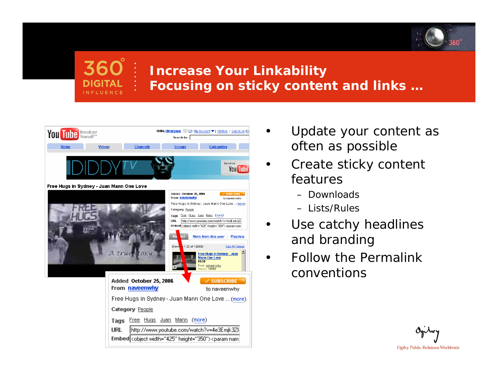



#### **Increase Your Linkability** *Focusing on sticky content and links …*



- • Update your content as often as possible
- • Create sticky content features
	- Downloads
	- Lists/Rules
- • Use catchy headlines and branding
- • Follow the Permalinkconventions

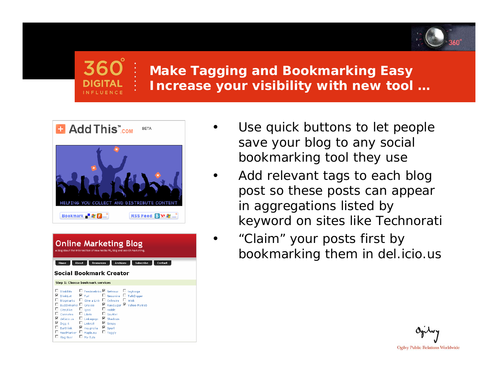

#### **Make Tagging and Bookmarking Easy** *Increase your visibility with new tool …*

•

•

•



| <b>Online Marketing Blog</b><br>A blog about the intersection of new media PR, blog and search marketing.                |                                                                                                                                                                                                                                                                                                                                                                                                                                                |                              |         |
|--------------------------------------------------------------------------------------------------------------------------|------------------------------------------------------------------------------------------------------------------------------------------------------------------------------------------------------------------------------------------------------------------------------------------------------------------------------------------------------------------------------------------------------------------------------------------------|------------------------------|---------|
| <b>About</b><br>Home                                                                                                     | <b>Resources</b>                                                                                                                                                                                                                                                                                                                                                                                                                               | <b>Archives</b><br>Subscribe | Contact |
| Social Bookmark Creator                                                                                                  |                                                                                                                                                                                                                                                                                                                                                                                                                                                |                              |         |
| Step 1: Choose bookmark services                                                                                         |                                                                                                                                                                                                                                                                                                                                                                                                                                                |                              |         |
| ⊽<br>$\Box$ CiteUlike $\Box$ igooi<br>⊽<br>$\Box$ Earthlink $\Box$ malgnolia<br>FeedMarker D Maple.nu<br>Flog this!<br>□ | BlinkBits $\Box$ Feedmelinks $\Box$ Netvouz $\Box$ tagtooga<br>□ Newsvine □ TalkDigger<br>Bloomarks $\Box$ Give a Link $\Box$ Onlywire $\Box$ Wink<br>Buddymarks □ Gravee □ RawSugar ■ Yahoo MyWeb<br>$\Box$ reddit<br>$\square$ Connotea $\square$ Lilisto $\square$ Scuttle!<br>del.icio.us □ Linkagogo ■ Shadows<br>$\blacksquare$ Digg it $\blacksquare$ Linkroll $\blacksquare$ Simpy<br>$\blacksquare$ Spurl<br>$\Box$ Taggly<br>My-Tuts |                              |         |

- Use quick buttons to let people save your blog to any social bookmarking tool they use
- Add relevant tags to each blog post so these posts can appear in aggregations listed by keyword on sites like Technorati
	- "Claim" your posts first by bookmarking them in del.icio.us

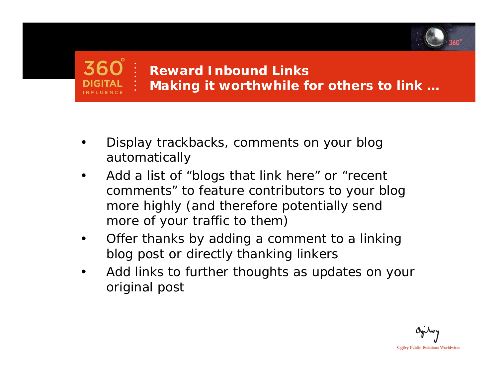

# **Reward Inbound Links** *Making it worthwhile for others to link …*

- • Display trackbacks, comments on your blog automatically
- • Add a list of "blogs that link here" or "recent comments" to feature contributors to your blog more highly (and therefore potentially send more of your traffic to them)
- • Offer thanks by adding a comment to a linking blog post or directly thanking linkers
- • Add links to further thoughts as updates on your original post

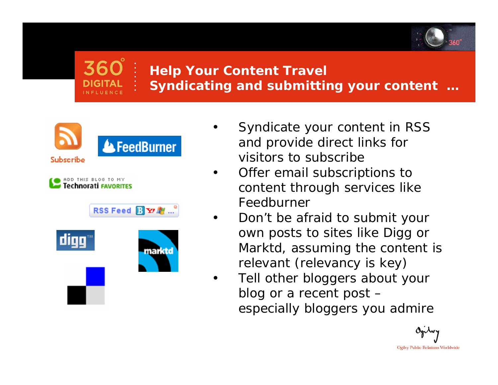

# **Help Your Content Travel** *Syndicating and submitting your content …*

•



- Syndicate your content in RSS and provide direct links for visitors to subscribe
- • Offer email subscriptions to content through services like Feedburner
- • Don't be afraid to submit your own posts to sites like Digg or Marktd, assuming the content is relevant (relevancy is key)
- • Tell other bloggers about your blog or a recent post – especially bloggers you admire

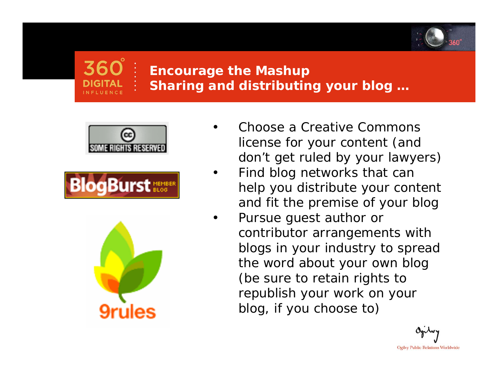

# **Encourage the Mashup** *Sharing and distributing your blog …*

•







- Choose a Creative Commons license for your content (and don't get ruled by your lawyers)
- • Find blog networks that can help you distribute your content and fit the premise of your blog
- • Pursue guest author or contributor arrangements with blogs in your industry to spread the word about your own blog (be sure to retain rights to republish your work on your blog, if you choose to)

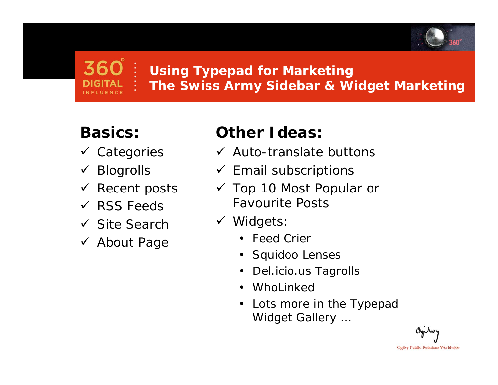

# **Using Typepad for Marketing** *The Swiss Army Sidebar & Widget Marketing*

# **Basics:**

- √ Categories
- $\checkmark$  Blogrolls
- $\checkmark$  Recent posts
- $\checkmark$  RSS Feeds
- $\checkmark$  Site Search
- √ About Page

# **Other Ideas:**

- $\checkmark$  Auto-translate buttons
- $\checkmark$  Email subscriptions
- $\checkmark$  Top 10 Most Popular or Favourite Posts
- $\checkmark$  Widgets:
	- Feed Crier
	- •Squidoo Lenses
	- •Del.icio.us Tagrolls
	- •WhoLinked
	- • *Lots more in the Typepad Widget Gallery …*

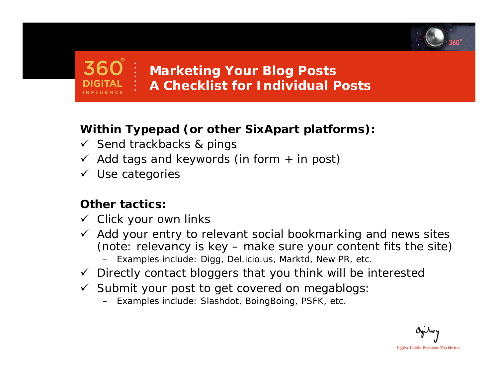

# **Marketing Your Blog Posts** *A Checklist for Individual Posts*

#### **Within Typepad (or other SixApart platforms):**

- $\checkmark$  Send trackbacks & pings
- $\checkmark$  Add tags and keywords (in form + in post)
- $\checkmark$  Use categories

#### **Other tactics:**

- $\checkmark$  Click your own links
- $\checkmark$  Add your entry to relevant social bookmarking and news sites (note: relevancy is key – make sure your content fits the site)
	- Examples include: Digg, Del.icio.us, Marktd, New PR, etc.
- $\checkmark$  Directly contact bloggers that you think will be interested
- $\checkmark$  Submit your post to get covered on megablogs:
	- Examples include: Slashdot, BoingBoing, PSFK, etc.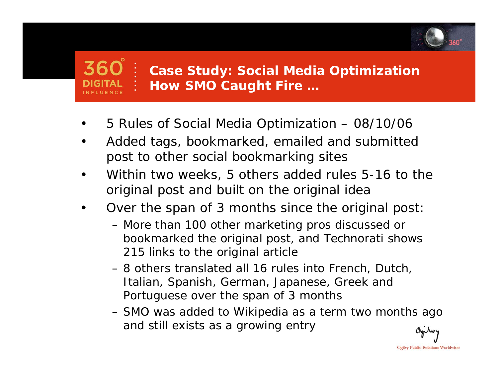

#### **Case Study: Social Media Optimization** *How SMO Caught Fire …*

- •5 Rules of Social Media Optimization – 08/10/06
- • Added tags, bookmarked, emailed and submitted post to other social bookmarking sites
- • Within two weeks, 5 others added rules 5-16 to the original post and built on the original idea
- • Over the span of 3 months since the original post:
	- More than 100 other marketing pros discussed or bookmarked the original post, and Technorati shows 215 links to the original article
	- 8 others translated all 16 rules into French, Dutch, Italian, Spanish, German, Japanese, Greek and Portuguese over the span of 3 months
	- SMO was added to Wikipedia as a term two months ago and still exists as a growing entry

**Ogilvy Public Relations Worldwide**